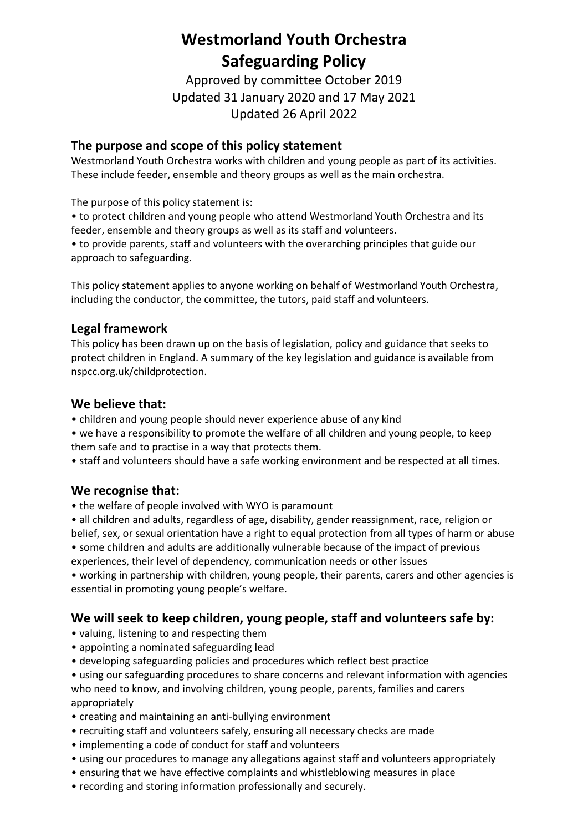# **Westmorland Youth Orchestra Safeguarding Policy**

Approved by committee October 2019 Updated 31 January 2020 and 17 May 2021 Updated 26 April 2022

# **The purpose and scope of this policy statement**

Westmorland Youth Orchestra works with children and young people as part of its activities. These include feeder, ensemble and theory groups as well as the main orchestra.

The purpose of this policy statement is:

• to protect children and young people who attend Westmorland Youth Orchestra and its feeder, ensemble and theory groups as well as its staff and volunteers.

• to provide parents, staff and volunteers with the overarching principles that guide our approach to safeguarding.

This policy statement applies to anyone working on behalf of Westmorland Youth Orchestra, including the conductor, the committee, the tutors, paid staff and volunteers.

# **Legal framework**

This policy has been drawn up on the basis of legislation, policy and guidance that seeks to protect children in England. A summary of the key legislation and guidance is available from nspcc.org.uk/childprotection.

# **We believe that:**

- children and young people should never experience abuse of any kind
- we have a responsibility to promote the welfare of all children and young people, to keep them safe and to practise in a way that protects them.
- staff and volunteers should have a safe working environment and be respected at all times.

# **We recognise that:**

- the welfare of people involved with WYO is paramount
- all children and adults, regardless of age, disability, gender reassignment, race, religion or belief, sex, or sexual orientation have a right to equal protection from all types of harm or abuse
- some children and adults are additionally vulnerable because of the impact of previous experiences, their level of dependency, communication needs or other issues

• working in partnership with children, young people, their parents, carers and other agencies is essential in promoting young people's welfare.

# **We will seek to keep children, young people, staff and volunteers safe by:**

- valuing, listening to and respecting them
- appointing a nominated safeguarding lead
- developing safeguarding policies and procedures which reflect best practice
- using our safeguarding procedures to share concerns and relevant information with agencies who need to know, and involving children, young people, parents, families and carers appropriately
- creating and maintaining an anti-bullying environment
- recruiting staff and volunteers safely, ensuring all necessary checks are made
- implementing a code of conduct for staff and volunteers
- using our procedures to manage any allegations against staff and volunteers appropriately
- ensuring that we have effective complaints and whistleblowing measures in place
- recording and storing information professionally and securely.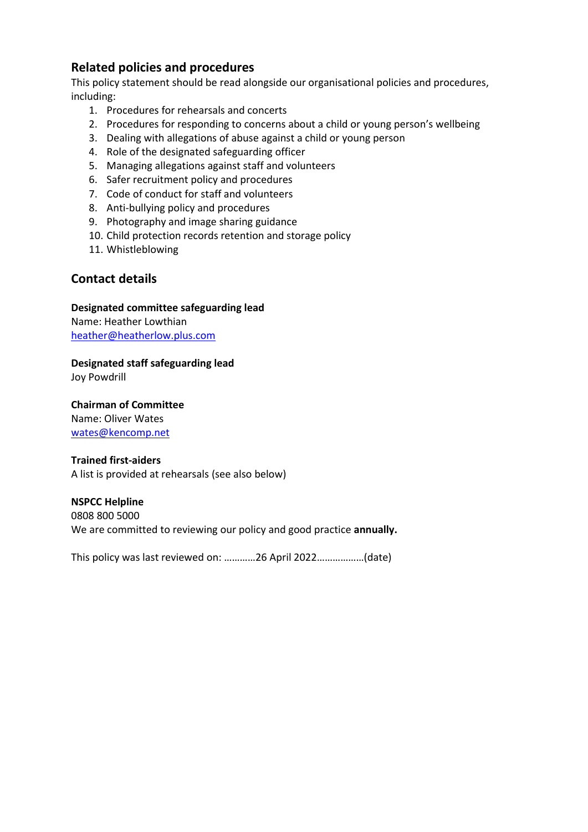# **Related policies and procedures**

This policy statement should be read alongside our organisational policies and procedures, including:

- 1. Procedures for rehearsals and concerts
- 2. Procedures for responding to concerns about a child or young person's wellbeing
- 3. Dealing with allegations of abuse against a child or young person
- 4. Role of the designated safeguarding officer
- 5. Managing allegations against staff and volunteers
- 6. Safer recruitment policy and procedures
- 7. Code of conduct for staff and volunteers
- 8. Anti-bullying policy and procedures
- 9. Photography and image sharing guidance
- 10. Child protection records retention and storage policy
- 11. Whistleblowing

# **Contact details**

### **Designated committee safeguarding lead**

Name: Heather Lowthian [heather@heatherlow.plus.com](mailto:heather@heatherlow.plus.com)

### **Designated staff safeguarding lead**

Joy Powdrill

#### **Chairman of Committee**

Name: Oliver Wates [wates@kencomp.net](mailto:wates@kencomp.net)

#### **Trained first-aiders**

A list is provided at rehearsals (see also below)

#### **NSPCC Helpline**

0808 800 5000 We are committed to reviewing our policy and good practice **annually.** 

This policy was last reviewed on: …………26 April 2022………………(date)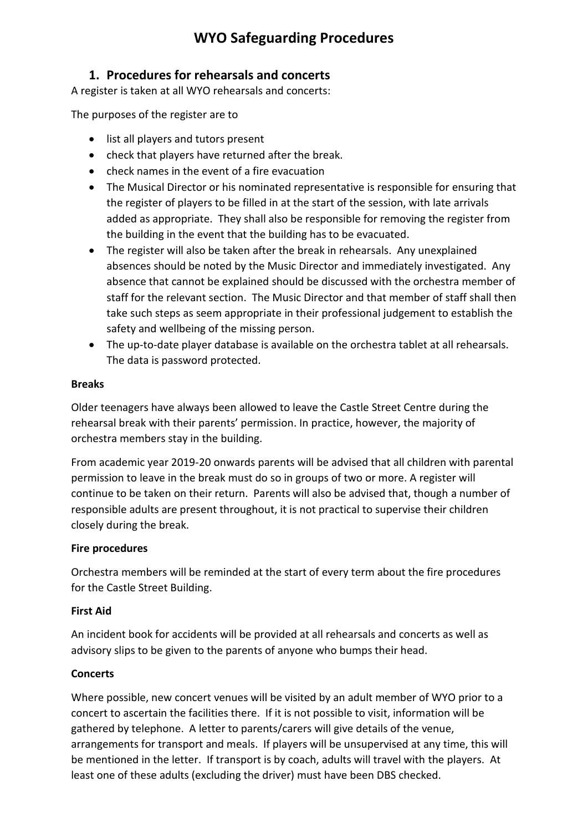# **WYO Safeguarding Procedures**

# **1. Procedures for rehearsals and concerts**

A register is taken at all WYO rehearsals and concerts:

The purposes of the register are to

- list all players and tutors present
- check that players have returned after the break.
- check names in the event of a fire evacuation
- The Musical Director or his nominated representative is responsible for ensuring that the register of players to be filled in at the start of the session, with late arrivals added as appropriate. They shall also be responsible for removing the register from the building in the event that the building has to be evacuated.
- The register will also be taken after the break in rehearsals. Any unexplained absences should be noted by the Music Director and immediately investigated. Any absence that cannot be explained should be discussed with the orchestra member of staff for the relevant section. The Music Director and that member of staff shall then take such steps as seem appropriate in their professional judgement to establish the safety and wellbeing of the missing person.
- The up-to-date player database is available on the orchestra tablet at all rehearsals. The data is password protected.

#### **Breaks**

Older teenagers have always been allowed to leave the Castle Street Centre during the rehearsal break with their parents' permission. In practice, however, the majority of orchestra members stay in the building.

From academic year 2019-20 onwards parents will be advised that all children with parental permission to leave in the break must do so in groups of two or more. A register will continue to be taken on their return. Parents will also be advised that, though a number of responsible adults are present throughout, it is not practical to supervise their children closely during the break.

#### **Fire procedures**

Orchestra members will be reminded at the start of every term about the fire procedures for the Castle Street Building.

#### **First Aid**

An incident book for accidents will be provided at all rehearsals and concerts as well as advisory slips to be given to the parents of anyone who bumps their head.

#### **Concerts**

Where possible, new concert venues will be visited by an adult member of WYO prior to a concert to ascertain the facilities there. If it is not possible to visit, information will be gathered by telephone. A letter to parents/carers will give details of the venue, arrangements for transport and meals. If players will be unsupervised at any time, this will be mentioned in the letter. If transport is by coach, adults will travel with the players. At least one of these adults (excluding the driver) must have been DBS checked.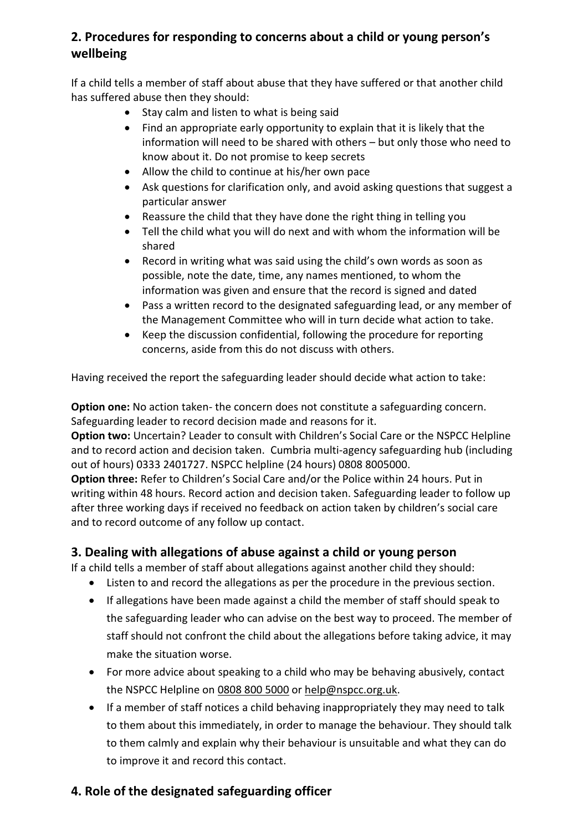# **2. Procedures for responding to concerns about a child or young person's wellbeing**

If a child tells a member of staff about abuse that they have suffered or that another child has suffered abuse then they should:

- Stay calm and listen to what is being said
- Find an appropriate early opportunity to explain that it is likely that the information will need to be shared with others – but only those who need to know about it. Do not promise to keep secrets
- Allow the child to continue at his/her own pace
- Ask questions for clarification only, and avoid asking questions that suggest a particular answer
- Reassure the child that they have done the right thing in telling you
- Tell the child what you will do next and with whom the information will be shared
- Record in writing what was said using the child's own words as soon as possible, note the date, time, any names mentioned, to whom the information was given and ensure that the record is signed and dated
- Pass a written record to the designated safeguarding lead, or any member of the Management Committee who will in turn decide what action to take.
- Keep the discussion confidential, following the procedure for reporting concerns, aside from this do not discuss with others.

Having received the report the safeguarding leader should decide what action to take:

**Option one:** No action taken- the concern does not constitute a safeguarding concern. Safeguarding leader to record decision made and reasons for it.

**Option two:** Uncertain? Leader to consult with Children's Social Care or the NSPCC Helpline and to record action and decision taken. Cumbria multi-agency safeguarding hub (including out of hours) 0333 2401727. NSPCC helpline (24 hours) 0808 8005000.

**Option three:** Refer to Children's Social Care and/or the Police within 24 hours. Put in writing within 48 hours. Record action and decision taken. Safeguarding leader to follow up after three working days if received no feedback on action taken by children's social care and to record outcome of any follow up contact.

# **3. Dealing with allegations of abuse against a child or young person**

If a child tells a member of staff about allegations against another child they should:

- Listen to and record the allegations as per the procedure in the previous section.
- If allegations have been made against a child the member of staff should speak to the safeguarding leader who can advise on the best way to proceed. The member of staff should not confront the child about the allegations before taking advice, it may make the situation worse.
- For more advice about speaking to a child who may be behaving abusively, contact the NSPCC Helpline on [0808](tel:08088005000) 800 5000 o[r help@nspcc.org.uk.](mailto:help@nspcc.org.uk)
- If a member of staff notices a child behaving inappropriately they may need to talk to them about this immediately, in order to manage the behaviour. They should talk to them calmly and explain why their behaviour is unsuitable and what they can do to improve it and record this contact.

# **4. Role of the designated safeguarding officer**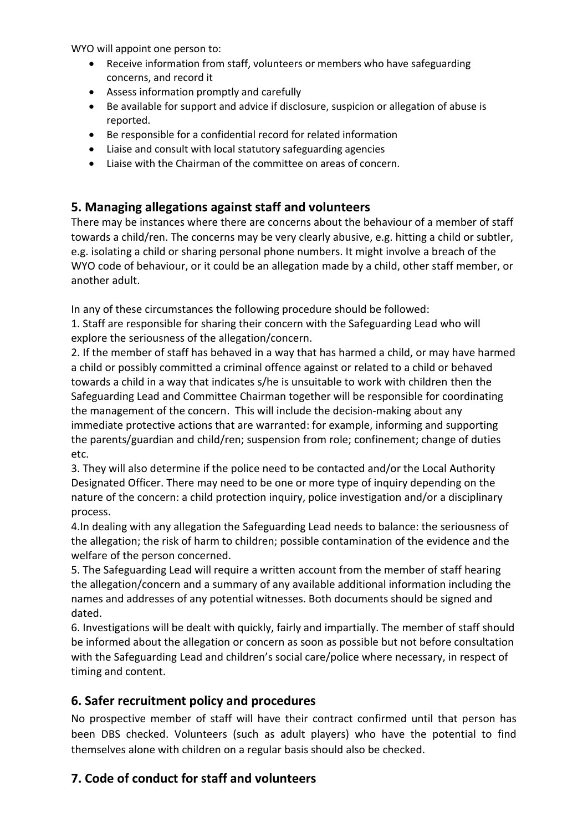WYO will appoint one person to:

- Receive information from staff, volunteers or members who have safeguarding concerns, and record it
- Assess information promptly and carefully
- Be available for support and advice if disclosure, suspicion or allegation of abuse is reported.
- Be responsible for a confidential record for related information
- Liaise and consult with local statutory safeguarding agencies
- Liaise with the Chairman of the committee on areas of concern.

# **5. Managing allegations against staff and volunteers**

There may be instances where there are concerns about the behaviour of a member of staff towards a child/ren. The concerns may be very clearly abusive, e.g. hitting a child or subtler, e.g. isolating a child or sharing personal phone numbers. It might involve a breach of the WYO code of behaviour, or it could be an allegation made by a child, other staff member, or another adult.

In any of these circumstances the following procedure should be followed:

1. Staff are responsible for sharing their concern with the Safeguarding Lead who will explore the seriousness of the allegation/concern.

2. If the member of staff has behaved in a way that has harmed a child, or may have harmed a child or possibly committed a criminal offence against or related to a child or behaved towards a child in a way that indicates s/he is unsuitable to work with children then the Safeguarding Lead and Committee Chairman together will be responsible for coordinating the management of the concern. This will include the decision-making about any immediate protective actions that are warranted: for example, informing and supporting the parents/guardian and child/ren; suspension from role; confinement; change of duties etc.

3. They will also determine if the police need to be contacted and/or the Local Authority Designated Officer. There may need to be one or more type of inquiry depending on the nature of the concern: a child protection inquiry, police investigation and/or a disciplinary process.

4.In dealing with any allegation the Safeguarding Lead needs to balance: the seriousness of the allegation; the risk of harm to children; possible contamination of the evidence and the welfare of the person concerned.

5. The Safeguarding Lead will require a written account from the member of staff hearing the allegation/concern and a summary of any available additional information including the names and addresses of any potential witnesses. Both documents should be signed and dated.

6. Investigations will be dealt with quickly, fairly and impartially. The member of staff should be informed about the allegation or concern as soon as possible but not before consultation with the Safeguarding Lead and children's social care/police where necessary, in respect of timing and content.

# **6. Safer recruitment policy and procedures**

No prospective member of staff will have their contract confirmed until that person has been DBS checked. Volunteers (such as adult players) who have the potential to find themselves alone with children on a regular basis should also be checked.

# **7. Code of conduct for staff and volunteers**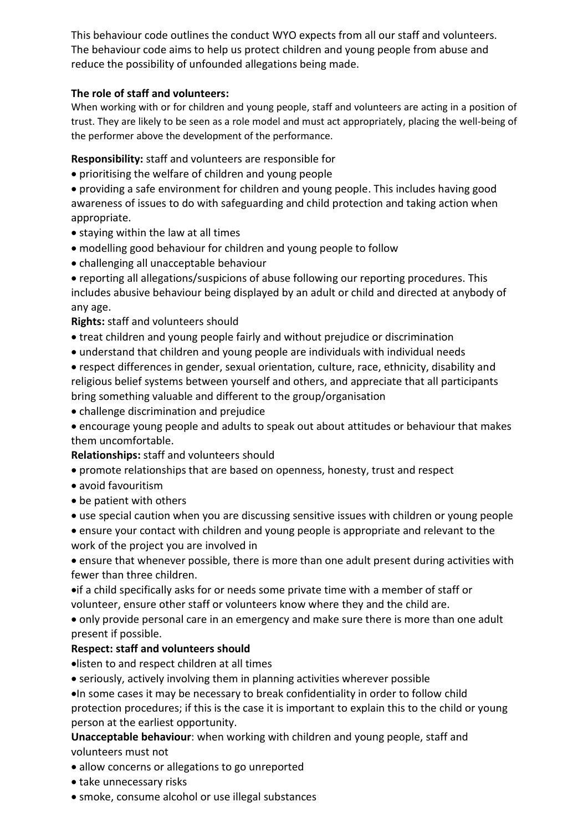This behaviour code outlines the conduct WYO expects from all our staff and volunteers. The behaviour code aims to help us protect children and young people from abuse and reduce the possibility of unfounded allegations being made.

### **The role of staff and volunteers:**

When working with or for children and young people, staff and volunteers are acting in a position of trust. They are likely to be seen as a role model and must act appropriately, placing the well-being of the performer above the development of the performance.

**Responsibility:** staff and volunteers are responsible for

• prioritising the welfare of children and young people

• providing a safe environment for children and young people. This includes having good awareness of issues to do with safeguarding and child protection and taking action when appropriate.

- staying within the law at all times
- modelling good behaviour for children and young people to follow
- challenging all unacceptable behaviour

• reporting all allegations/suspicions of abuse following our reporting procedures. This includes abusive behaviour being displayed by an adult or child and directed at anybody of any age.

### **Rights:** staff and volunteers should

- treat children and young people fairly and without prejudice or discrimination
- understand that children and young people are individuals with individual needs

• respect differences in gender, sexual orientation, culture, race, ethnicity, disability and religious belief systems between yourself and others, and appreciate that all participants bring something valuable and different to the group/organisation

• challenge discrimination and prejudice

• encourage young people and adults to speak out about attitudes or behaviour that makes them uncomfortable.

#### **Relationships:** staff and volunteers should

- promote relationships that are based on openness, honesty, trust and respect
- avoid favouritism
- be patient with others
- use special caution when you are discussing sensitive issues with children or young people
- ensure your contact with children and young people is appropriate and relevant to the work of the project you are involved in

• ensure that whenever possible, there is more than one adult present during activities with fewer than three children.

•if a child specifically asks for or needs some private time with a member of staff or volunteer, ensure other staff or volunteers know where they and the child are.

• only provide personal care in an emergency and make sure there is more than one adult present if possible.

# **Respect: staff and volunteers should**

•listen to and respect children at all times

• seriously, actively involving them in planning activities wherever possible

•In some cases it may be necessary to break confidentiality in order to follow child protection procedures; if this is the case it is important to explain this to the child or young person at the earliest opportunity.

**Unacceptable behaviour**: when working with children and young people, staff and volunteers must not

- allow concerns or allegations to go unreported
- take unnecessary risks
- smoke, consume alcohol or use illegal substances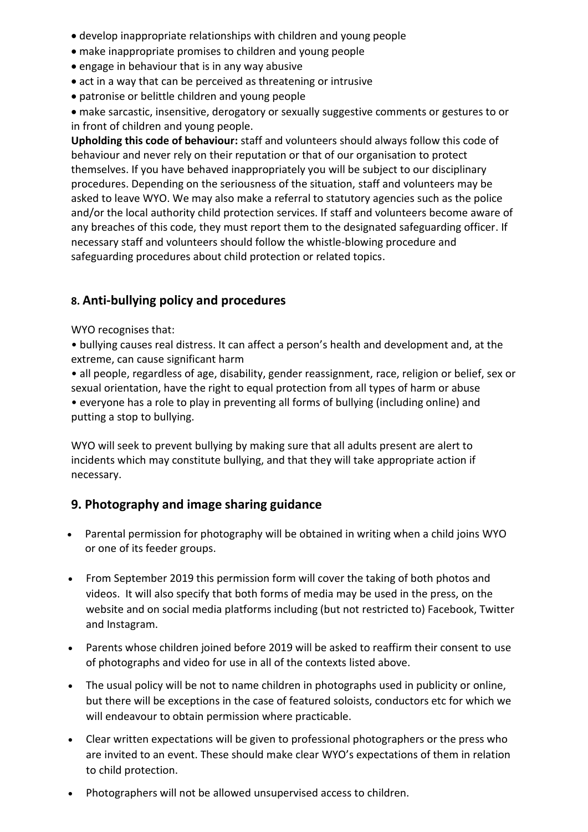- develop inappropriate relationships with children and young people
- make inappropriate promises to children and young people
- engage in behaviour that is in any way abusive
- act in a way that can be perceived as threatening or intrusive
- patronise or belittle children and young people
- make sarcastic, insensitive, derogatory or sexually suggestive comments or gestures to or in front of children and young people.

**Upholding this code of behaviour:** staff and volunteers should always follow this code of behaviour and never rely on their reputation or that of our organisation to protect themselves. If you have behaved inappropriately you will be subject to our disciplinary procedures. Depending on the seriousness of the situation, staff and volunteers may be asked to leave WYO. We may also make a referral to statutory agencies such as the police and/or the local authority child protection services. If staff and volunteers become aware of any breaches of this code, they must report them to the designated safeguarding officer. If necessary staff and volunteers should follow the whistle-blowing procedure and safeguarding procedures about child protection or related topics.

# **8. Anti-bullying policy and procedures**

WYO recognises that:

• bullying causes real distress. It can affect a person's health and development and, at the extreme, can cause significant harm

• all people, regardless of age, disability, gender reassignment, race, religion or belief, sex or sexual orientation, have the right to equal protection from all types of harm or abuse

• everyone has a role to play in preventing all forms of bullying (including online) and putting a stop to bullying.

WYO will seek to prevent bullying by making sure that all adults present are alert to incidents which may constitute bullying, and that they will take appropriate action if necessary.

# **9. Photography and image sharing guidance**

- Parental permission for photography will be obtained in writing when a child joins WYO or one of its feeder groups.
- From September 2019 this permission form will cover the taking of both photos and videos. It will also specify that both forms of media may be used in the press, on the website and on social media platforms including (but not restricted to) Facebook, Twitter and Instagram.
- Parents whose children joined before 2019 will be asked to reaffirm their consent to use of photographs and video for use in all of the contexts listed above.
- The usual policy will be not to name children in photographs used in publicity or online, but there will be exceptions in the case of featured soloists, conductors etc for which we will endeavour to obtain permission where practicable.
- Clear written expectations will be given to professional photographers or the press who are invited to an event. These should make clear WYO's expectations of them in relation to child protection.
- Photographers will not be allowed unsupervised access to children.